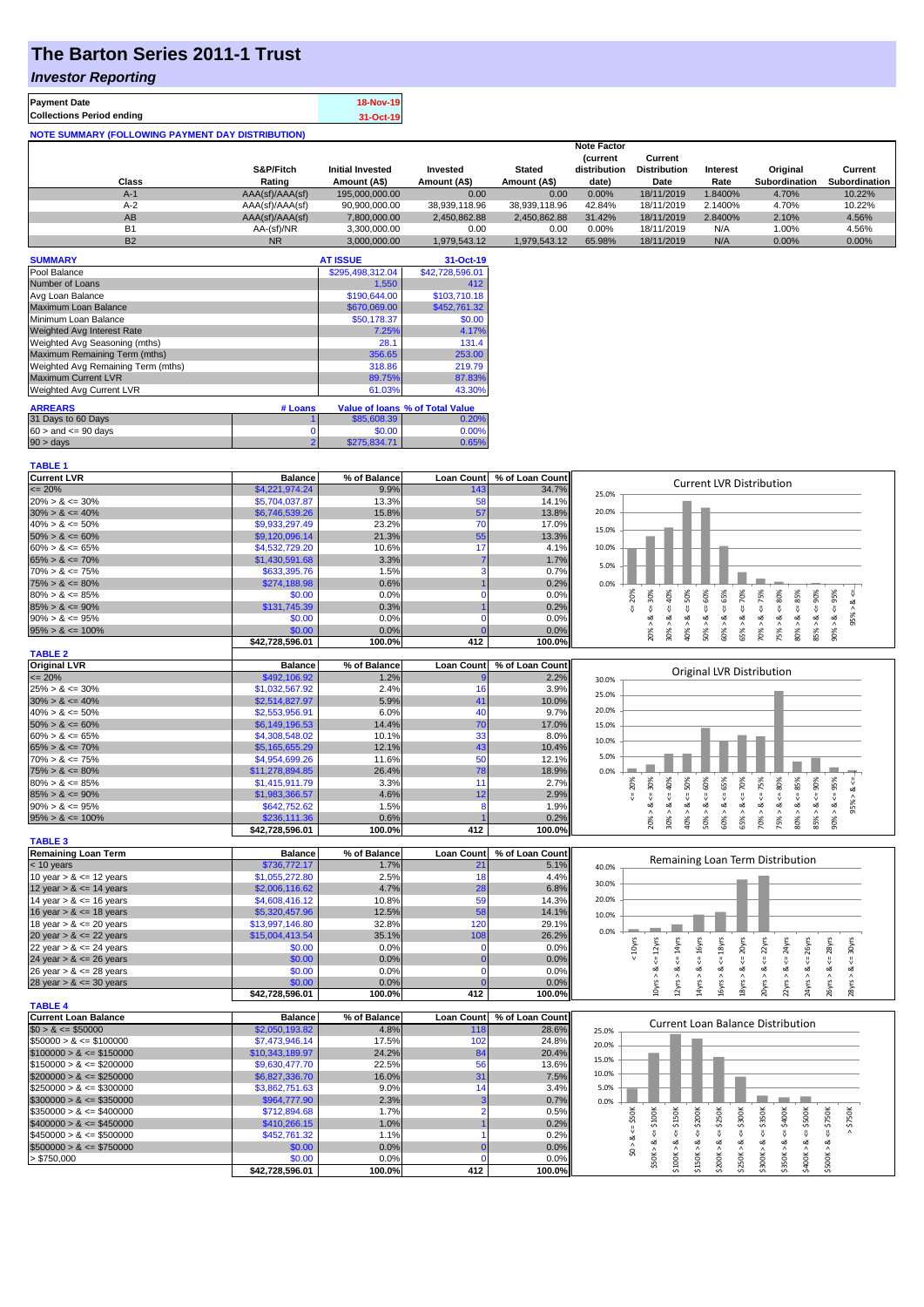## **The Barton Series 2011-1 Trust**

### *Investor Reporting*

| <b>Payment Date</b>                                      | <b>18-Nov-19</b> |
|----------------------------------------------------------|------------------|
| <b>Collections Period ending</b>                         | 31-Oct-19        |
| <b>NOTE SUMMARY (FOLLOWING PAYMENT DAY DISTRIBUTION)</b> |                  |

|           |                 |                         |               |               | <b>Note Factor</b> |                     |                 |               |               |
|-----------|-----------------|-------------------------|---------------|---------------|--------------------|---------------------|-----------------|---------------|---------------|
|           |                 |                         |               |               | <b>Current</b>     | Current             |                 |               |               |
|           | S&P/Fitch       | <b>Initial Invested</b> | Invested      | <b>Stated</b> | distribution       | <b>Distribution</b> | <b>Interest</b> | Original      | Current       |
| Class     | Rating          | Amount (A\$)            | Amount (A\$)  | Amount (A\$)  | date)              | Date                | Rate            | Subordination | Subordination |
| $A-1$     | AAA(sf)/AAA(sf) | 195,000,000,00          | 0.00          | 0.00          | 0.00%              | 18/11/2019          | 1.8400%         | 4.70%         | 10.22%        |
| $A-2$     | AAA(sf)/AAA(sf) | 90,900,000.00           | 38.939.118.96 | 38.939.118.96 | 42.84%             | 18/11/2019          | 2.1400%         | 4.70%         | 10.22%        |
| AB        | AAA(sf)/AAA(sf) | 7.800.000.00            | 2.450.862.88  | 2.450.862.88  | 31.42%             | 18/11/2019          | 2.8400%         | 2.10%         | 4.56%         |
| <b>B1</b> | AA-(sf)/NR      | 3.300.000.00            | 0.00          | 0.00          | 0.00%              | 18/11/2019          | N/A             | 1.00%         | 4.56%         |
| <b>B2</b> | <b>NR</b>       | 3.000.000.00            | 1.979.543.12  | 1.979.543.12  | 65.98%             | 18/11/2019          | N/A             | 0.00%         | 0.00%         |

| <b>SUMMARY</b>                     |                | <b>AT ISSUE</b>  | 31-Oct-19                       |
|------------------------------------|----------------|------------------|---------------------------------|
| Pool Balance                       |                | \$295,498,312.04 | \$42,728,596.01                 |
| Number of Loans                    |                | 1,550            | 412                             |
| Avg Loan Balance                   |                | \$190,644.00     | \$103,710.18                    |
| Maximum Loan Balance               |                | \$670,069.00     | \$452,761.32                    |
| Minimum Loan Balance               |                | \$50,178.37      | \$0.00                          |
| <b>Weighted Avg Interest Rate</b>  |                | 7.25%            | 4.17%                           |
| Weighted Avg Seasoning (mths)      |                | 28.1             | 131.4                           |
| Maximum Remaining Term (mths)      |                | 356.65           | 253.00                          |
| Weighted Avg Remaining Term (mths) |                | 318.86           | 219.79                          |
| Maximum Current LVR                |                | 89.75%           | 87.83%                          |
| Weighted Avg Current LVR           |                | 61.03%           | 43.30%                          |
| <b>ARREARS</b>                     | # Loans        |                  | Value of Ioans % of Total Value |
| 31 Days to 60 Days                 |                | \$85,608.39      | 0.20%                           |
| $60 >$ and $\leq 90$ days          |                | \$0.00           | 0.00%                           |
| $90 > \text{days}$                 | $\overline{ }$ | \$275.834.71     | 0.65%                           |

| <b>TABLE 1</b>                                |                           |                      |                          |                          |                                                                                                                                                                                                                                |
|-----------------------------------------------|---------------------------|----------------------|--------------------------|--------------------------|--------------------------------------------------------------------------------------------------------------------------------------------------------------------------------------------------------------------------------|
| <b>Current LVR</b>                            | <b>Balance</b>            | % of Balance         | <b>Loan Count</b>        | % of Loan Count          |                                                                                                                                                                                                                                |
| $\leq$ 20%                                    | \$4,221,974.24            | 9.9%                 | 143                      | 34.7%                    | <b>Current LVR Distribution</b><br>25.0%                                                                                                                                                                                       |
| $20\% > 8 \le 30\%$                           | \$5,704,037.87            | 13.3%                | 58                       | 14.1%                    |                                                                                                                                                                                                                                |
| $30\% > 8 \le 40\%$                           | \$6,746,539.26            | 15.8%                | 57                       | 13.8%                    | 20.0%                                                                                                                                                                                                                          |
| $40\% > 8 \le 50\%$                           | \$9,933,297.49            | 23.2%                | 70                       | 17.0%                    |                                                                                                                                                                                                                                |
| $50\% > 8 \le 60\%$                           | \$9,120,096.14            | 21.3%                | 55                       | 13.3%                    | 15.0%                                                                                                                                                                                                                          |
| $60\% > 8 \le 65\%$                           | \$4,532,729.20            | 10.6%                | 17                       | 4.1%                     | 10.0%                                                                                                                                                                                                                          |
| $65\% > 8 \le 70\%$                           | \$1,430,591.68            | 3.3%                 |                          | 1.7%                     |                                                                                                                                                                                                                                |
| $70\% > 8 \le 75\%$                           | \$633,395.76              | 1.5%                 | з                        | 0.7%                     | 5.0%                                                                                                                                                                                                                           |
| $75\% > 8 \le 80\%$                           | \$274,188.98              | 0.6%                 |                          | 0.2%                     | 0.0%                                                                                                                                                                                                                           |
| $80\% > 8 \le 85\%$                           | \$0.00                    | 0.0%                 | n                        | 0.0%                     | 50%                                                                                                                                                                                                                            |
| $85\% > 8 \le 90\%$                           | \$131,745.39              | 0.3%                 |                          | 0.2%                     | $4 = 30\%$<br>$4 = 60\%$<br>$\epsilon = 70\%$<br>$4 = 75\%$<br>40%<br>$<=80\%$<br>$\leq 90\%$<br>$5 = 20%$<br>$4 = 85\%$<br>95% > 86<br>₹                                                                                      |
| $90\% > 8 \le 95\%$                           | \$0.00                    | 0.0%                 | $\Omega$                 | 0.0%                     | ಹ<br>ಎ<br>ವ                                                                                                                                                                                                                    |
| $95\% > 8 \le 100\%$                          | \$0.00                    | 0.0%                 |                          | 0.0%                     | $60\% > 8 \le f 65\%$<br>$90\% > 8 <= 95\%$<br>$80\% > 8.$<br>$30\% > 8$<br>$50\% > 8.$<br>65% > 8<br>75% > 8<br>85% > 8.<br>20% ><br>40% ><br>70% >                                                                           |
|                                               | \$42,728,596.01           | 100.0%               | 412                      | 100.0%                   |                                                                                                                                                                                                                                |
| <b>TABLE 2</b>                                |                           |                      |                          |                          |                                                                                                                                                                                                                                |
| <b>Original LVR</b>                           | <b>Balance</b>            | % of Balance         | <b>Loan Count</b>        | % of Loan Count          |                                                                                                                                                                                                                                |
| $= 20%$                                       | \$492,106.92              | 1.2%                 |                          | 2.2%                     | Original LVR Distribution<br>30.0%                                                                                                                                                                                             |
| $25\% > 8 \le 30\%$                           | \$1,032,567.92            | 2.4%                 | 16                       | 3.9%                     |                                                                                                                                                                                                                                |
| $30\% > 8 \le 40\%$                           | \$2,514,827.97            | 5.9%                 | 41                       | 10.0%                    | 25.0%                                                                                                                                                                                                                          |
| $40\% > 8 \le 50\%$                           | \$2,553,956.91            | 6.0%                 | 40                       | 9.7%                     | 20.0%                                                                                                                                                                                                                          |
| $50\% > 8 \le 60\%$                           | \$6,149,196.53            | 14.4%                | 70                       | 17.0%                    | 15.0%                                                                                                                                                                                                                          |
| $60\% > 8 \le 65\%$                           | \$4,308,548.02            | 10.1%                | 33                       | 8.0%                     |                                                                                                                                                                                                                                |
| $65\% > 8 \le 70\%$                           | \$5,165,655.29            | 12.1%                | 43                       | 10.4%                    | 10.0%                                                                                                                                                                                                                          |
| $70\% > 8 \le 75\%$                           | \$4,954,699.26            | 11.6%                | 50                       | 12.1%                    | 5.0%                                                                                                                                                                                                                           |
| $75\% > 8 \le 80\%$                           | \$11,278,894.85           | 26.4%                | 78                       | 18.9%                    | 0.0%                                                                                                                                                                                                                           |
| $80\% > 8 \le 85\%$                           | \$1,415,911.79            | 3.3%                 | 11                       | 2.7%                     |                                                                                                                                                                                                                                |
| $85\% > 8 \le 90\%$                           | \$1,983,366.57            | 4.6%                 | 12                       | 2.9%                     | $4 = 20\%$<br>50%                                                                                                                                                                                                              |
| $90\% > 8 \le 95\%$                           | \$642,752.62              | 1.5%                 | 8                        | 1.9%                     | $20\% > 8 <= 30\%$<br>$30\% > 8 <= 40\%$<br>$50\% > 8 <= 60\%$<br>$60\% > 8 <= 65\%$<br>$70\% > 8 <= 75\%$<br>$75\% > 8.4 = 80\%$<br>$80\% > 8 <= 85\%$<br>$90\% > 8 <= 95\%$<br>$65% > 8 \le 70%$<br>$- > 8 < -955$<br>V<br>ઌ |
| $95\% > 8 \le 100\%$                          | \$236,111.36              | 0.6%                 |                          | 0.2%                     |                                                                                                                                                                                                                                |
|                                               | \$42,728,596.01           | 100.0%               | 412                      | 100.0%                   | $85\% > 8 <= 90\%$<br>40%                                                                                                                                                                                                      |
| <b>TABLE 3</b>                                |                           |                      |                          |                          |                                                                                                                                                                                                                                |
| <b>Remaining Loan Term</b>                    | <b>Balance</b>            | % of Balance         | <b>Loan Count</b>        | % of Loan Count          |                                                                                                                                                                                                                                |
| $<$ 10 years                                  | \$736,772.17              | 1.7%                 | 21                       | 5.1%                     | Remaining Loan Term Distribution<br>40.0%                                                                                                                                                                                      |
| 10 year $> 8 \le 12$ years                    | \$1,055,272.80            | 2.5%                 | 18                       | 4.4%                     |                                                                                                                                                                                                                                |
| 12 year $> 8 \le 14$ years                    | \$2,006,116.62            | 4.7%                 | 28                       | 6.8%                     | 30.0%                                                                                                                                                                                                                          |
| 14 year $> 8 \le 16$ years                    | \$4,608,416.12            |                      |                          |                          |                                                                                                                                                                                                                                |
| 16 year $> 8 \le 18$ years                    |                           |                      |                          |                          | 20.0%                                                                                                                                                                                                                          |
|                                               |                           | 10.8%                | 59                       | 14.3%                    |                                                                                                                                                                                                                                |
|                                               | \$5,320,457.96            | 12.5%                | 58                       | 14.1%                    | 10.0%                                                                                                                                                                                                                          |
| 18 year $> 8 \le 20$ years                    | \$13,997,146.80           | 32.8%                | 120                      | 29.1%                    | 0.0%                                                                                                                                                                                                                           |
| 20 year $> 8 \le 22$ years                    | \$15,004,413.54           | 35.1%                | 108                      | 26.2%                    |                                                                                                                                                                                                                                |
| 22 year $> 8 \le 24$ years                    | \$0.00                    | 0.0%                 | $\mathbf 0$              | 0.0%                     |                                                                                                                                                                                                                                |
| 24 year $> 8 \le 26$ years                    | \$0.00                    | 0.0%                 | C                        | 0.0%                     | $\leq$ 20yrs<br>$\leq 12$ yrs<br>$\Leftarrow$ 14yrs<br>$\Leftarrow$ 16yrs<br>$\Leftarrow$ 18yrs<br>$\leq$ 22 $\gamma$ rs<br>$< 10Y$ rs<br>$\Leftarrow$ 24yrs<br>$\leq$ 26yrs<br>$\leq$ 28yrs<br>$\Leftarrow$ 30yrs<br>ಷ        |
| 26 year $> 8 \le 28$ years                    | \$0.00                    | 0.0%                 | $\mathbf 0$<br>r         | 0.0%                     |                                                                                                                                                                                                                                |
| 28 year $> 8 \le 30$ years                    | \$0.00                    | 0.0%                 |                          | 0.0%                     | 10yrs > 8<br>12yrs > 8<br>18yrs > 8<br>20yrs > 8<br>26yrs > 8<br>16yrs > 8<br>22yrs > 8<br>24yrs > 8<br>28yrs > 8<br>14yrs > i                                                                                                 |
|                                               | \$42,728,596.01           | 100.0%               | 412                      | 100.0%                   |                                                                                                                                                                                                                                |
| <b>TABLE 4</b><br><b>Current Loan Balance</b> | <b>Balance</b>            |                      |                          |                          |                                                                                                                                                                                                                                |
| $$0 > 8 \leq $50000$                          | \$2,050,193.82            | % of Balance<br>4.8% | <b>Loan Count</b><br>118 | % of Loan Count<br>28.6% | Current Loan Balance Distribution                                                                                                                                                                                              |
| $$50000 > 8 \leq $100000$                     |                           | 17.5%                | 102                      | 24.8%                    | 25.0%                                                                                                                                                                                                                          |
|                                               | \$7,473,946.14            |                      |                          |                          | 20.0%                                                                                                                                                                                                                          |
| $$100000 > 8 \leq $150000$                    | \$10,343,189.97           | 24.2%                | 84                       | 20.4%                    | 15.0%                                                                                                                                                                                                                          |
| $$150000 > 8 \leq $200000$                    | \$9,630,477.70            | 22.5%                | 56                       | 13.6%                    | 10.0%                                                                                                                                                                                                                          |
| $$200000 > 8 \leq $250000$                    | \$6,827,336.70            | 16.0%<br>9.0%        | 31<br>14                 | 7.5%<br>3.4%             | 5.0%                                                                                                                                                                                                                           |
| $$250000 > 8 \leq $300000$                    | \$3,862,751.63            |                      |                          |                          |                                                                                                                                                                                                                                |
| $$300000 > 8 \leq $350000$                    | \$964,777.90              | 2.3%                 | 2                        | 0.7%                     | 0.0%                                                                                                                                                                                                                           |
| $$350000 > 8 \leq $400000$                    | \$712,894.68              | 1.7%                 |                          | 0.5%                     |                                                                                                                                                                                                                                |
| $$400000 > 8 \leq $450000$                    | \$410,266.15              | 1.0%                 |                          | 0.2%                     | $\leq$ \$50K<br>$4 = $400K$<br>\$150K<br>\$200K<br>$4 = $300K$<br>$4 = $500K$<br>$>$ \$750 $K$<br>V<br><b>V</b>                                                                                                                |
| $$450000 > 8 \leq $500000$                    | \$452,761.32              | 1.1%                 |                          | 0.2%                     | $\leq$ \$100K<br>$\Leftarrow$ \$250K<br>$4 = $350K$<br>$\Leftarrow$ \$750K<br>ಷ                                                                                                                                                |
| $$500000 > 8 \leq $750000$                    | \$0.00                    | 0.0%                 | $\Omega$                 | 0.0%                     | \$0 > 8                                                                                                                                                                                                                        |
| > \$750,000                                   | \$0.00<br>\$42,728,596.01 | 0.0%<br>100.0%       | $\Omega$<br>412          | 0.0%<br>100.0%           | \$200K > 8<br>\$50K > 8<br>\$100K > 8<br>\$250K > 8<br>\$400K > 8<br>\$150K > 8<br>\$300K > 8<br>\$350K > 8<br>\$500K>                                                                                                         |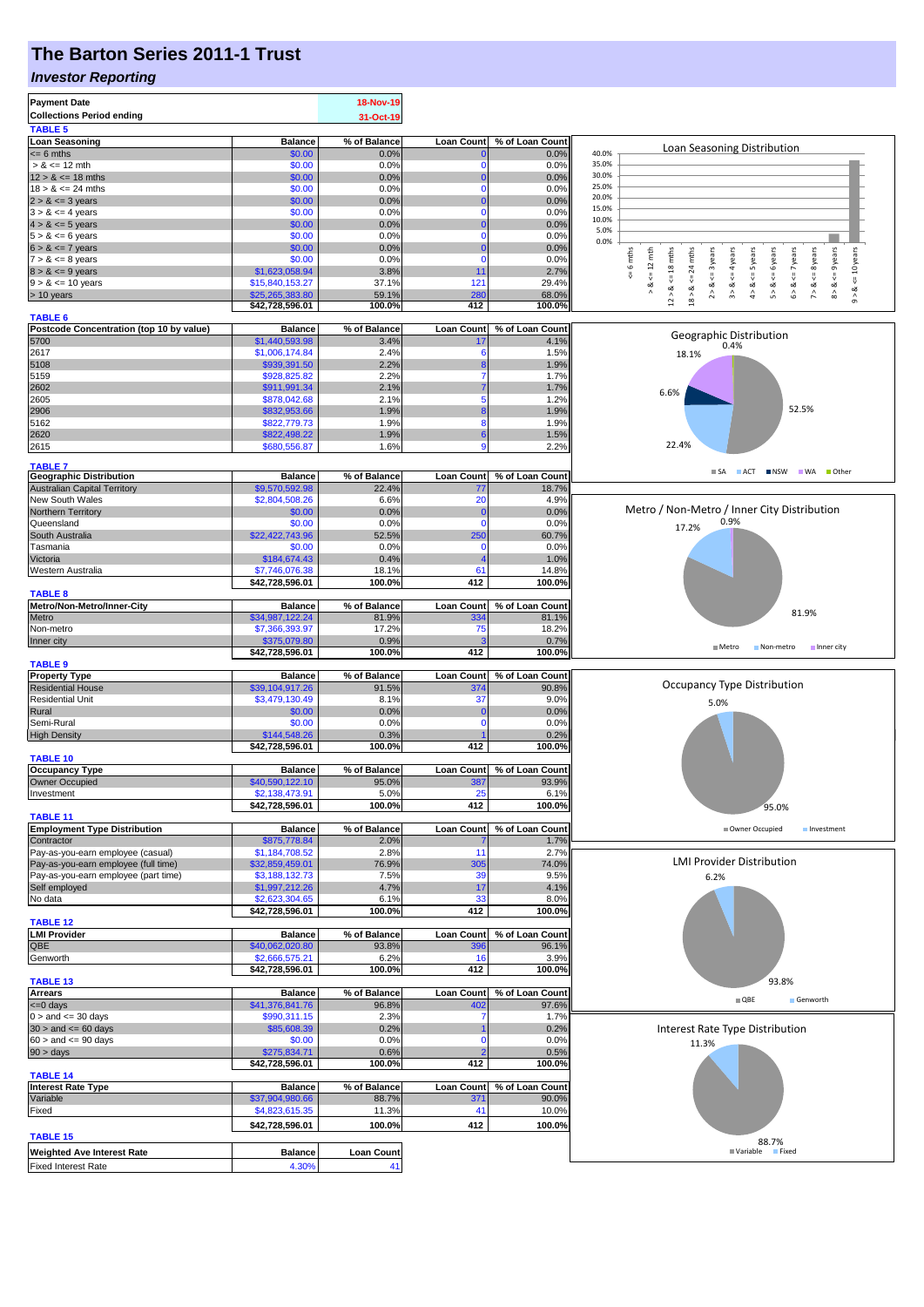# **The Barton Series 2011-1 Trust**

### *Investor Reporting*

| <b>Payment Date</b>                                                                                   |                                  | 18-Nov-19               |                   |                          |                                                                                                                                                                                                                     |
|-------------------------------------------------------------------------------------------------------|----------------------------------|-------------------------|-------------------|--------------------------|---------------------------------------------------------------------------------------------------------------------------------------------------------------------------------------------------------------------|
| <b>Collections Period ending</b>                                                                      |                                  | 31-Oct-19               |                   |                          |                                                                                                                                                                                                                     |
| <b>TABLE 5</b>                                                                                        |                                  |                         |                   |                          |                                                                                                                                                                                                                     |
| <b>Loan Seasoning</b>                                                                                 | <b>Balance</b>                   | % of Balance            | <b>Loan Count</b> | % of Loan Count          | Loan Seasoning Distribution                                                                                                                                                                                         |
| $= 6$ mths                                                                                            | \$0.00                           | 0.0%                    | 0                 | 0.0%                     | 40.0%                                                                                                                                                                                                               |
| $> 8 \le 12$ mth                                                                                      | \$0.00                           | 0.0%                    | n                 | 0.0%                     | 35.0%                                                                                                                                                                                                               |
| $12 > 8 \le 18$ mths                                                                                  | \$0.00                           | 0.0%                    | 0                 | 0.0%                     | 30.0%<br>25.0%                                                                                                                                                                                                      |
| $18 > 8 \le 24$ mths<br>$2 > 8 \le 3$ years                                                           | \$0.00<br>\$0.00                 | 0.0%                    | $\Omega$<br>0     | 0.0%<br>0.0%             | 20.0%                                                                                                                                                                                                               |
| $3 > 8 \le 4$ years                                                                                   | \$0.00                           | 0.0%<br>0.0%            | 0                 | 0.0%                     | 15.0%                                                                                                                                                                                                               |
| $4 > 8 \le 5$ years                                                                                   | \$0.00                           | 0.0%                    | 0                 | 0.0%                     | 10.0%                                                                                                                                                                                                               |
| $5 > 8 \le 6$ years                                                                                   | \$0.00                           | 0.0%                    | $\mathbf 0$       | 0.0%                     | 5.0%                                                                                                                                                                                                                |
| $6 > 8 \le 7$ years                                                                                   | \$0.00                           | 0.0%                    | 0                 | 0.0%                     | 0.0%                                                                                                                                                                                                                |
| $7 > 8 \le 8$ years                                                                                   | \$0.00                           | 0.0%                    | $\Omega$          | 0.0%                     | $8 > 8 < 9$ years<br>6 mths<br>$\leq$ 18 mths<br>$mths$<br><= 10 years<br>$\leq 12$ mth<br>$2 > 8$ <= 3 years<br>$\leq$ = 4 years<br>$4 > 8$ <= 5 years<br>$\leq$ = 6 years<br>$6 > 8$ <= 7 years<br>$\leq$ 8 years |
| $8 > 8 \le 9$ years                                                                                   | \$1,623,058.94                   | 3.8%                    | 11                | 2.7%                     | 24<br>8                                                                                                                                                                                                             |
| $9 > 8 \le 10$ years                                                                                  | \$15,840,153.27                  | 37.1%                   | 121               | 29.4%                    | ₩<br>ಷ<br>∞<br>య<br>ಷ<br>ಷ<br>œ                                                                                                                                                                                     |
| > 10 years                                                                                            | \$25,265,383.80                  | 59.1%                   | <b>280</b>        | 68.0%                    | $9 - 8$<br>$\wedge$<br>$\stackrel{\wedge}{\scriptstyle\sigma}$<br>$\hat{\mathbf{r}}$<br>$\hat{\mathcal{L}}$<br>$12$ $\times$<br>$18 >$                                                                              |
|                                                                                                       | \$42,728,596.01                  | 100.0%                  | 412               | 100.0%                   |                                                                                                                                                                                                                     |
| <b>TABLE 6</b>                                                                                        |                                  |                         |                   |                          |                                                                                                                                                                                                                     |
| Postcode Concentration (top 10 by value)<br>5700                                                      | <b>Balance</b><br>\$1,440,593.98 | % of Balance<br>3.4%    | Loan Count<br>17  | % of Loan Count<br>4.1%  | Geographic Distribution                                                                                                                                                                                             |
| 2617                                                                                                  | \$1,006,174.84                   | 2.4%                    | 6                 | 1.5%                     | 0.4%                                                                                                                                                                                                                |
| 5108                                                                                                  | \$939,391.50                     | 2.2%                    |                   | 1.9%                     | 18.1%                                                                                                                                                                                                               |
| 5159                                                                                                  | \$928,825.82                     | 2.2%                    |                   | 1.7%                     |                                                                                                                                                                                                                     |
| 2602                                                                                                  | \$911,991.34                     | 2.1%                    |                   | 1.7%                     |                                                                                                                                                                                                                     |
| 2605                                                                                                  | \$878,042.68                     | 2.1%                    |                   | 1.2%                     | 6.6%                                                                                                                                                                                                                |
| 2906                                                                                                  | \$832,953.66                     | 1.9%                    |                   | 1.9%                     | 52.5%                                                                                                                                                                                                               |
| 5162                                                                                                  | \$822,779.73                     | 1.9%                    | 8                 | 1.9%                     |                                                                                                                                                                                                                     |
| 2620                                                                                                  | \$822,498.22                     | 1.9%                    | 6                 | 1.5%                     |                                                                                                                                                                                                                     |
| 2615                                                                                                  | \$680,556.87                     | 1.6%                    |                   | 2.2%                     | 22.4%                                                                                                                                                                                                               |
|                                                                                                       |                                  |                         |                   |                          |                                                                                                                                                                                                                     |
| <b>TABLE 7</b>                                                                                        |                                  |                         |                   |                          | SA ACT NSW WA Other                                                                                                                                                                                                 |
| <b>Geographic Distribution</b><br><b>Australian Capital Territory</b>                                 | <b>Balance</b><br>\$9,570,592.98 | % of Balance<br>22.4%   | <b>Loan Count</b> | % of Loan Count<br>18.7% |                                                                                                                                                                                                                     |
| New South Wales                                                                                       | \$2,804,508.26                   | 6.6%                    | 77<br>20          | 4.9%                     |                                                                                                                                                                                                                     |
| Northern Territory                                                                                    | \$0.00                           | 0.0%                    | C                 | 0.0%                     | Metro / Non-Metro / Inner City Distribution                                                                                                                                                                         |
| Queensland                                                                                            | \$0.00                           | 0.0%                    | $\Omega$          | 0.0%                     | 0.9%                                                                                                                                                                                                                |
| South Australia                                                                                       | \$22,422,743.96                  | 52.5%                   | 250               | 60.7%                    | 17.2%                                                                                                                                                                                                               |
| Tasmania                                                                                              | \$0.00                           | 0.0%                    | n                 | 0.0%                     |                                                                                                                                                                                                                     |
| Victoria                                                                                              | \$184,674.43                     | 0.4%                    |                   | 1.0%                     |                                                                                                                                                                                                                     |
| Western Australia                                                                                     | \$7,746,076.38                   | 18.1%                   | 61                | 14.8%                    |                                                                                                                                                                                                                     |
|                                                                                                       | \$42,728,596.01                  | 100.0%                  | 412               | 100.0%                   |                                                                                                                                                                                                                     |
| <b>TABLE 8</b>                                                                                        |                                  |                         |                   |                          |                                                                                                                                                                                                                     |
| Metro/Non-Metro/Inner-City                                                                            | <b>Balance</b>                   | % of Balance            | <b>Loan Count</b> | % of Loan Count          |                                                                                                                                                                                                                     |
| Metro                                                                                                 | \$34,987,122.24                  | 81.9%                   | 334               | 81.1%                    | 81.9%                                                                                                                                                                                                               |
| Non-metro                                                                                             | \$7,366,393.97                   | 17.2%                   | 75                | 18.2%                    |                                                                                                                                                                                                                     |
| Inner city                                                                                            | \$375,079.80                     | 0.9%                    |                   | 0.7%                     | $M$ Metro<br>Non-metro Inner city                                                                                                                                                                                   |
|                                                                                                       | \$42,728,596.01                  | 100.0%                  | 412               | 100.0%                   |                                                                                                                                                                                                                     |
|                                                                                                       |                                  |                         |                   |                          |                                                                                                                                                                                                                     |
| <b>TABLE 9</b>                                                                                        |                                  |                         |                   |                          |                                                                                                                                                                                                                     |
| <b>Property Type</b>                                                                                  | <b>Balance</b>                   | % of Balance            | <b>Loan Count</b> | % of Loan Count          |                                                                                                                                                                                                                     |
| <b>Residential House</b>                                                                              | \$39,104,917.26                  | 91.5%                   | 374               | 90.8%                    | <b>Occupancy Type Distribution</b>                                                                                                                                                                                  |
| <b>Residential Unit</b>                                                                               | \$3,479,130.49                   | 8.1%                    | 37                | 9.0%                     | 5.0%                                                                                                                                                                                                                |
| Rural                                                                                                 | \$0.00                           | 0.0%                    | C                 | 0.0%                     |                                                                                                                                                                                                                     |
| Semi-Rural                                                                                            | \$0.00                           | 0.0%                    | 0                 | 0.0%                     |                                                                                                                                                                                                                     |
| <b>High Density</b>                                                                                   | \$144,548.26                     | 0.3%                    |                   | 0.2%                     |                                                                                                                                                                                                                     |
|                                                                                                       | \$42,728,596.01                  | 100.0%                  | 412               | 100.0%                   |                                                                                                                                                                                                                     |
| <b>TABLE 10</b>                                                                                       | <b>Balance</b>                   | % of Balance            | <b>Loan Count</b> | % of Loan Count          |                                                                                                                                                                                                                     |
| <b>Occupancy Type</b>                                                                                 | \$40,590,122.10                  | 95.0%                   | 387               | 93.9%                    |                                                                                                                                                                                                                     |
| <b>Owner Occupied</b><br>Investment                                                                   | \$2,138,473.91                   | 5.0%                    |                   | 6.1%                     |                                                                                                                                                                                                                     |
|                                                                                                       | \$42,728,596.01                  | 100.0%                  | 412               | 100.0%                   | 95.0%                                                                                                                                                                                                               |
| <b>TABLE 11</b>                                                                                       |                                  |                         |                   |                          |                                                                                                                                                                                                                     |
| <b>Employment Type Distribution</b>                                                                   | <b>Balance</b>                   | % of Balance            | <b>Loan Count</b> | % of Loan Count          | Owner Occupied<br>Investment                                                                                                                                                                                        |
| Contractor                                                                                            | \$875,778.84                     | 2.0%                    |                   | 1.7%                     |                                                                                                                                                                                                                     |
| Pay-as-you-earn employee (casual)                                                                     | \$1,184,708.52                   | 2.8%                    | 11                | 2.7%                     |                                                                                                                                                                                                                     |
| Pay-as-you-earn employee (full time)                                                                  | \$32,859,459.01                  | 76.9%                   | 305               | 74.0%                    | <b>LMI Provider Distribution</b>                                                                                                                                                                                    |
| Pay-as-you-earn employee (part time)                                                                  | \$3,188,132.73                   | 7.5%                    | 39                | 9.5%                     | 6.2%                                                                                                                                                                                                                |
| Self employed                                                                                         | \$1,997,212.26                   | 4.7%                    | 17                | 4.1%                     |                                                                                                                                                                                                                     |
| No data                                                                                               | \$2,623,304.65                   | 6.1%                    | 33                | 8.0%                     |                                                                                                                                                                                                                     |
|                                                                                                       | \$42,728,596.01                  | 100.0%                  | 412               | 100.0%                   |                                                                                                                                                                                                                     |
| <b>TABLE 12</b>                                                                                       | <b>Balance</b>                   | % of Balance            | <b>Loan Count</b> | % of Loan Count          |                                                                                                                                                                                                                     |
|                                                                                                       | \$40,062,020.80                  | 93.8%                   | 396               | 96.1%                    |                                                                                                                                                                                                                     |
| <b>LMI Provider</b><br>QBE<br>Genworth                                                                | \$2,666,575.21                   | 6.2%                    | 16                | 3.9%                     |                                                                                                                                                                                                                     |
|                                                                                                       | \$42,728,596.01                  | 100.0%                  | 412               | 100.0%                   |                                                                                                                                                                                                                     |
| <b>TABLE 13</b>                                                                                       |                                  |                         |                   |                          | 93.8%                                                                                                                                                                                                               |
| <b>Arrears</b>                                                                                        | <b>Balance</b>                   | % of Balance            | Loan Count        | % of Loan Count          |                                                                                                                                                                                                                     |
|                                                                                                       | \$41,376,841.76                  | 96.8%                   | 402               | 97.6%                    | $\blacksquare$ QBE<br>Genworth                                                                                                                                                                                      |
| $0 >$ and $\lt = 30$ days                                                                             | \$990,311.15                     | 2.3%                    |                   | 1.7%                     |                                                                                                                                                                                                                     |
|                                                                                                       | \$85,608.39                      | 0.2%                    |                   | 0.2%                     | Interest Rate Type Distribution                                                                                                                                                                                     |
|                                                                                                       | \$0.00                           | 0.0%                    | 0                 | 0.0%                     | 11.3%                                                                                                                                                                                                               |
|                                                                                                       | \$275,834.71                     | 0.6%                    |                   | 0.5%                     |                                                                                                                                                                                                                     |
|                                                                                                       | \$42,728,596.01                  | 100.0%                  | 412               | 100.0%                   |                                                                                                                                                                                                                     |
| <b>TABLE 14</b>                                                                                       |                                  |                         |                   |                          |                                                                                                                                                                                                                     |
| <b>Interest Rate Type</b>                                                                             | <b>Balance</b>                   | % of Balance            | Loan Count        | % of Loan Count          |                                                                                                                                                                                                                     |
| <= 0 days<br>$30 >$ and $\leq 60$ days<br>$60 >$ and $\leq 90$ days<br>$90 > \text{days}$<br>Variable | \$37,904,980.66                  | 88.7%<br>11.3%          | 371<br>41         | 90.0%<br>10.0%           |                                                                                                                                                                                                                     |
| Fixed                                                                                                 | \$4,823,615.35                   |                         |                   |                          |                                                                                                                                                                                                                     |
|                                                                                                       | \$42,728,596.01                  | 100.0%                  | 412               | 100.0%                   |                                                                                                                                                                                                                     |
| <b>TABLE 15</b>                                                                                       |                                  |                         |                   |                          | 88.7%                                                                                                                                                                                                               |
| <b>Weighted Ave Interest Rate</b><br><b>Fixed Interest Rate</b>                                       | <b>Balance</b><br>4.30%          | <b>Loan Count</b><br>41 |                   |                          | Variable Fixed                                                                                                                                                                                                      |